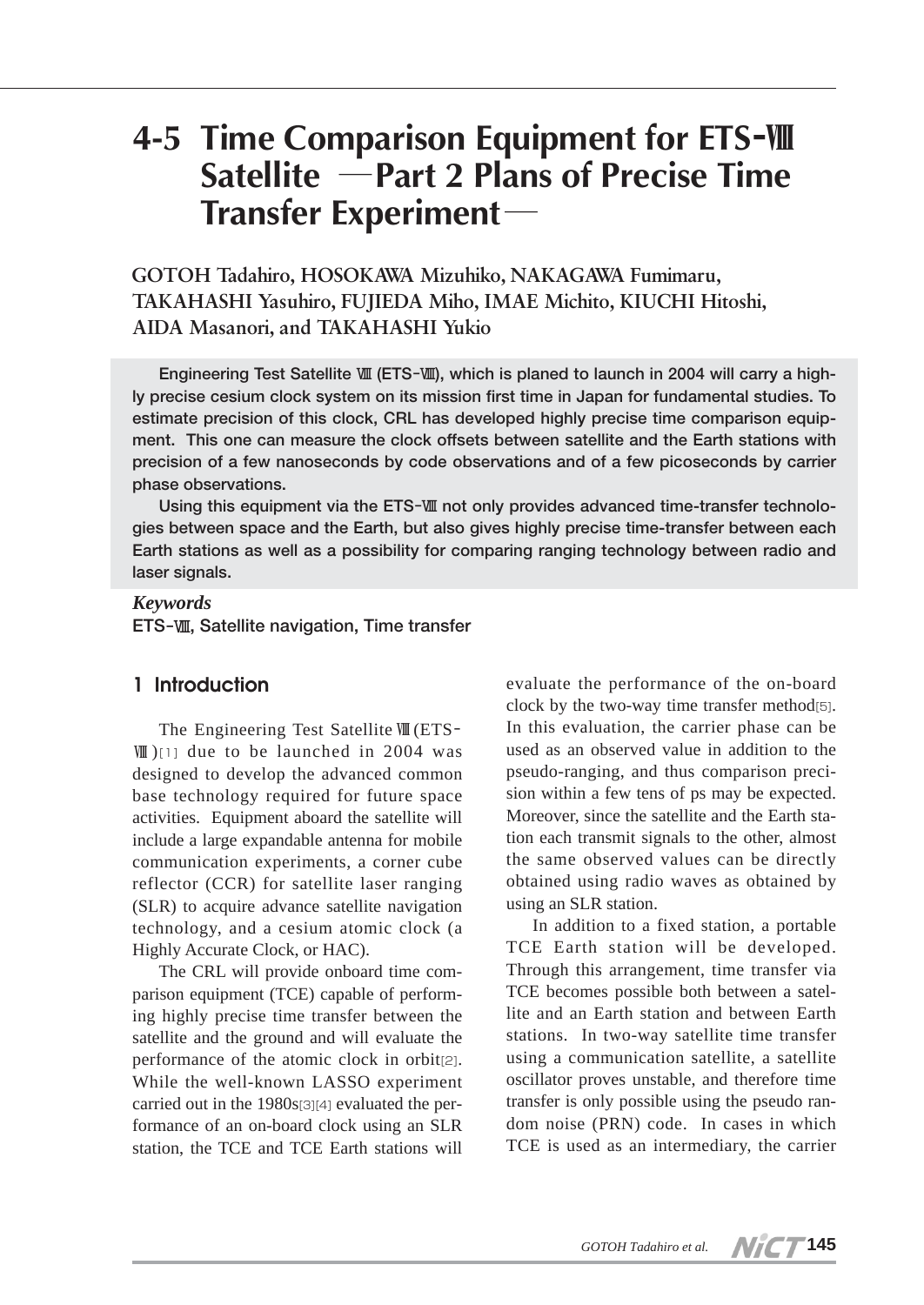# **4-5 Time Comparison Equipment for ETS**-Ⅷ **Satellite** ―**Part 2 Plans of Precise Time Transfer Experiment**―

**GOTOH Tadahiro, HOSOKAWA Mizuhiko, NAKAGAWA Fumimaru, TAKAHASHI Yasuhiro, FUJIEDA Miho, IMAE Michito, KIUCHI Hitoshi, AIDA Masanori, and TAKAHASHI Yukio**

**Engineering Test Satellite Ⅷ (ETS-Ⅷ), which is planed to launch in 2004 will carry a highly precise cesium clock system on its mission first time in Japan for fundamental studies. To estimate precision of this clock, CRL has developed highly precise time comparison equipment. This one can measure the clock offsets between satellite and the Earth stations with precision of a few nanoseconds by code observations and of a few picoseconds by carrier phase observations.** 

**Using this equipment via the ETS-Ⅷ not only provides advanced time-transfer technologies between space and the Earth, but also gives highly precise time-transfer between each Earth stations as well as a possibility for comparing ranging technology between radio and laser signals.**

#### *Keywords*

**ETS-Ⅷ, Satellite navigation, Time transfer**

#### **1 Introduction**

The Engineering Test SatelliteⅧ(ETS- Ⅷ )[1] due to be launched in 2004 was designed to develop the advanced common base technology required for future space activities. Equipment aboard the satellite will include a large expandable antenna for mobile communication experiments, a corner cube reflector (CCR) for satellite laser ranging (SLR) to acquire advance satellite navigation technology, and a cesium atomic clock (a Highly Accurate Clock, or HAC).

The CRL will provide onboard time comparison equipment (TCE) capable of performing highly precise time transfer between the satellite and the ground and will evaluate the performance of the atomic clock in orbit[2]. While the well-known LASSO experiment carried out in the 1980s[3][4] evaluated the performance of an on-board clock using an SLR station, the TCE and TCE Earth stations will

evaluate the performance of the on-board clock by the two-way time transfer method[5]. In this evaluation, the carrier phase can be used as an observed value in addition to the pseudo-ranging, and thus comparison precision within a few tens of ps may be expected. Moreover, since the satellite and the Earth station each transmit signals to the other, almost the same observed values can be directly obtained using radio waves as obtained by using an SLR station.

In addition to a fixed station, a portable TCE Earth station will be developed. Through this arrangement, time transfer via TCE becomes possible both between a satellite and an Earth station and between Earth stations. In two-way satellite time transfer using a communication satellite, a satellite oscillator proves unstable, and therefore time transfer is only possible using the pseudo random noise (PRN) code. In cases in which TCE is used as an intermediary, the carrier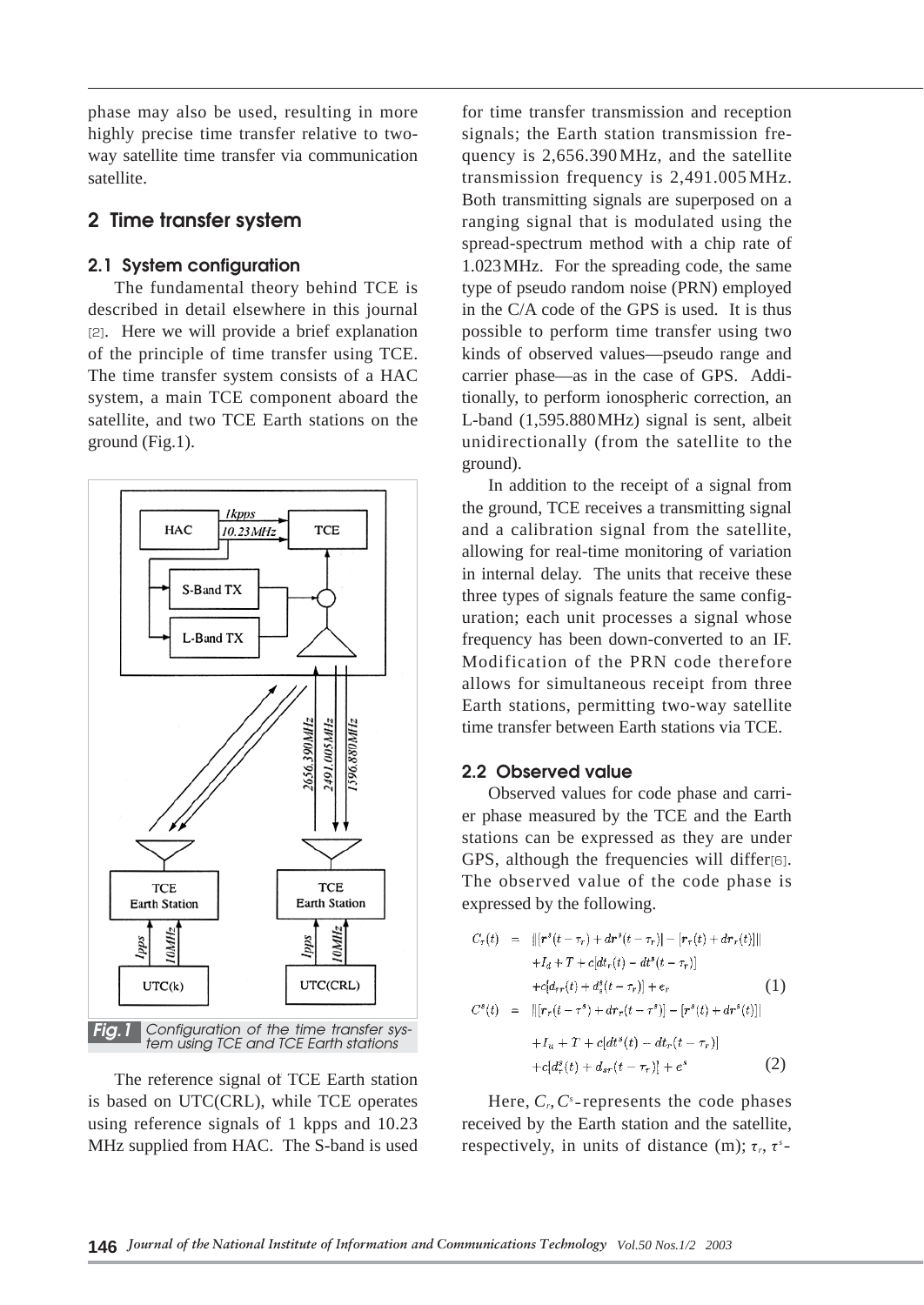phase may also be used, resulting in more highly precise time transfer relative to twoway satellite time transfer via communication satellite.

# **2 Time transfer system**

## **2.1 System configuration**

The fundamental theory behind TCE is described in detail elsewhere in this journal [2]. Here we will provide a brief explanation of the principle of time transfer using TCE. The time transfer system consists of a HAC system, a main TCE component aboard the satellite, and two TCE Earth stations on the ground (Fig.1).



The reference signal of TCE Earth station is based on UTC(CRL), while TCE operates using reference signals of 1 kpps and 10.23 MHz supplied from HAC. The S-band is used for time transfer transmission and reception signals; the Earth station transmission frequency is 2,656.390MHz, and the satellite transmission frequency is 2,491.005MHz. Both transmitting signals are superposed on a ranging signal that is modulated using the spread-spectrum method with a chip rate of 1.023MHz. For the spreading code, the same type of pseudo random noise (PRN) employed in the C/A code of the GPS is used. It is thus possible to perform time transfer using two kinds of observed values—pseudo range and carrier phase—as in the case of GPS. Additionally, to perform ionospheric correction, an L-band (1,595.880MHz) signal is sent, albeit unidirectionally (from the satellite to the ground).

In addition to the receipt of a signal from the ground, TCE receives a transmitting signal and a calibration signal from the satellite, allowing for real-time monitoring of variation in internal delay. The units that receive these three types of signals feature the same configuration; each unit processes a signal whose frequency has been down-converted to an IF. Modification of the PRN code therefore allows for simultaneous receipt from three Earth stations, permitting two-way satellite time transfer between Earth stations via TCE.

#### **2.2 Observed value**

Observed values for code phase and carrier phase measured by the TCE and the Earth stations can be expressed as they are under GPS, although the frequencies will differ[6]. The observed value of the code phase is expressed by the following.

$$
C_{r}(t) = ||[r^{s}(t-\tau_{r})+dr^{s}(t-\tau_{r})] - [r_{r}(t)+dr_{r}(t)]||
$$
  
\n
$$
+I_{d}+T+c[dt_{r}(t)-dt^{s}(t-\tau_{r})]
$$
  
\n
$$
+c[d_{rr}(t)+d_{s}^{s}(t-\tau_{r})]+e_{r}
$$
  
\n
$$
C^{s}(t) = ||[r_{r}(t-\tau^{s})+dr_{r}(t-\tau^{s})] - [r^{s}(t)+dr^{s}(t)]|
$$
  
\n
$$
+I_{u}+T+c[dt^{s}(t)-dt_{r}(t-\tau_{r})]
$$
  
\n
$$
+c[d_{r}^{s}(t)+d_{sr}(t-\tau_{r})]+e^{s}
$$
  
\n(2)

Here,  $C_r$ ,  $C_s$ -represents the code phases received by the Earth station and the satellite, respectively, in units of distance (m);τ*r*,τ*<sup>s</sup>* -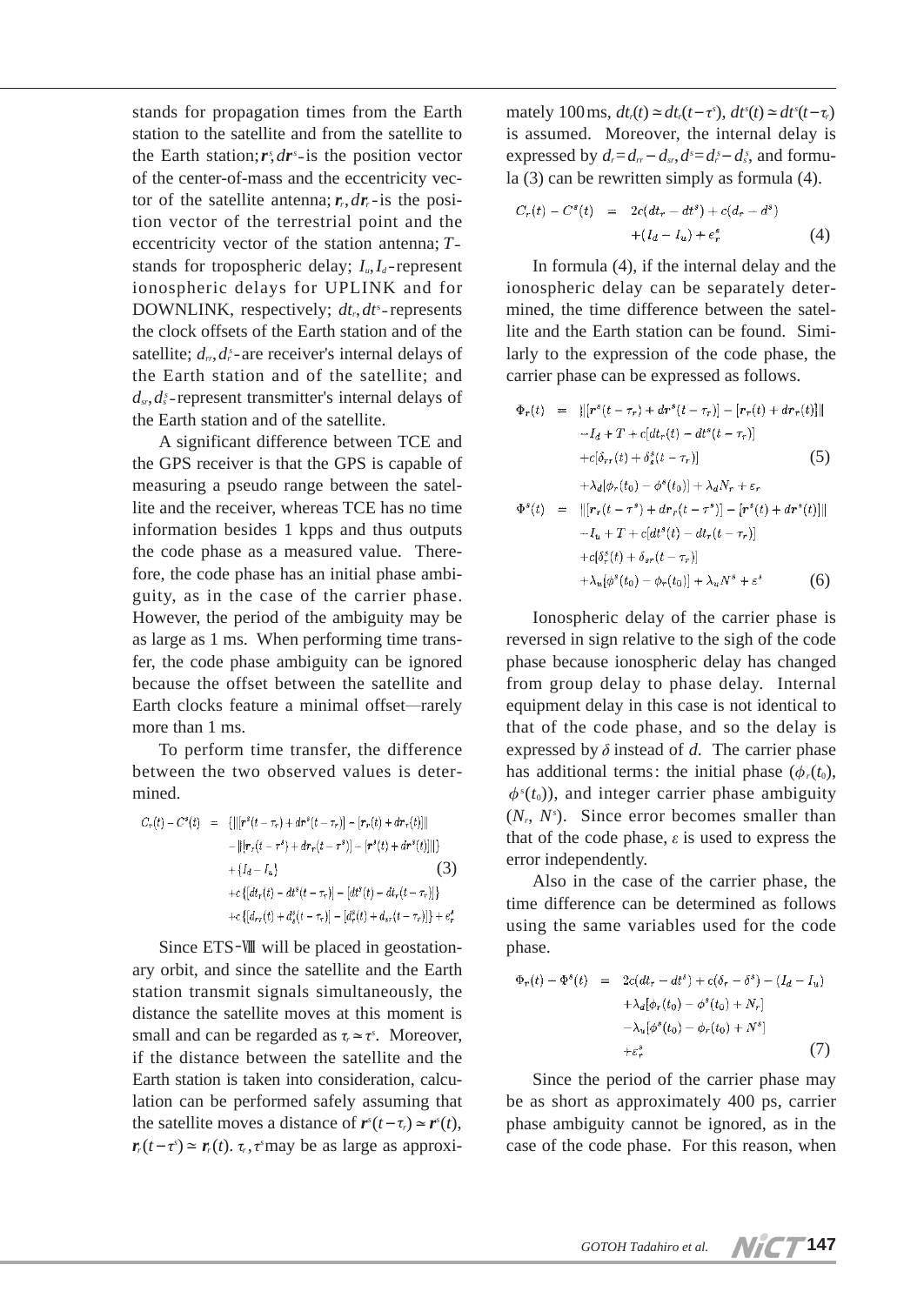stands for propagation times from the Earth station to the satellite and from the satellite to the Earth station;*r<sup>s</sup>* ,*dr<sup>s</sup>* -is the position vector of the center-of-mass and the eccentricity vector of the satellite antenna;  $\mathbf{r}_r$ ,  $d\mathbf{r}_r$ -is the position vector of the terrestrial point and the eccentricity vector of the station antenna; *T* stands for tropospheric delay;  $I_u, I_d$ -represent ionospheric delays for UPLINK and for DOWNLINK, respectively;  $dt_r, dt^*$ -represents the clock offsets of the Earth station and of the satellite;  $d_r, d_r$ -are receiver's internal delays of the Earth station and of the satellite; and *dsr*,*ds s* -represent transmitter's internal delays of the Earth station and of the satellite.

A significant difference between TCE and the GPS receiver is that the GPS is capable of measuring a pseudo range between the satellite and the receiver, whereas TCE has no time information besides 1 kpps and thus outputs the code phase as a measured value. Therefore, the code phase has an initial phase ambiguity, as in the case of the carrier phase. However, the period of the ambiguity may be as large as 1 ms. When performing time transfer, the code phase ambiguity can be ignored because the offset between the satellite and Earth clocks feature a minimal offset―rarely more than 1 ms.

To perform time transfer, the difference between the two observed values is determined.

$$
C_{r}(t) - C^{s}(t) = \{ ||[r^{s}(t - \tau_{r}) + dr^{s}(t - \tau_{r})] - [r_{r}(t) + dr_{r}(t)||] - ||[r_{r}(t - \tau^{s}) + dr_{r}(t - \tau^{s})] - [r^{s}(t) + dr^{s}(t)]|| \} + \{I_{d} - I_{u}\}
$$
(3)  
+ $c \{ [dt_{r}(t) - dt^{s}(t - \tau_{r})] - [dt^{s}(t) - dt_{r}(t - \tau_{r})] \} + c \{ [d_{rr}(t) + d_{s}^{s}(t - \tau_{r})] - [d_{r}^{s}(t) + d_{sr}(t - \tau_{r})] \} + e_{r}^{s}$ 

Since ETS-Ⅷ will be placed in geostationary orbit, and since the satellite and the Earth station transmit signals simultaneously, the distance the satellite moves at this moment is small and can be regarded as  $\tau_r \approx \tau^s$ . Moreover, if the distance between the satellite and the Earth station is taken into consideration, calculation can be performed safely assuming that the satellite moves a distance of  $\mathbf{r}^s(t-\tau_r) \simeq \mathbf{r}^s(t)$ ,  $r_r(t-\tau) \approx r_r(t)$ .  $\tau_r$ ,  $\tau$ smay be as large as approxi-

mately 100 ms,  $dt_r(t) \approx dt_r(t-\tau^s)$ ,  $dt^s(t) \approx dt^s(t-\tau_r)$ is assumed. Moreover, the internal delay is expressed by  $d_r = d_{rr} - d_{sr}$ ,  $d_s = d_s - d_s$ , and formula (3) can be rewritten simply as formula (4).

$$
C_r(t) - C^s(t) = 2c(dt_r - dt^s) + c(d_r - d^s)
$$
  
+ 
$$
(I_d - I_u) + e_r^s
$$
 (4)

In formula (4), if the internal delay and the ionospheric delay can be separately determined, the time difference between the satellite and the Earth station can be found. Similarly to the expression of the code phase, the carrier phase can be expressed as follows.

$$
\Phi_r(t) = ||[r^s(t - \tau_r) + dr^s(t - \tau_r)] - [r_r(t) + dr_r(t)]||
$$
  
\n
$$
-I_d + T + c[dt_r(t) - dt^s(t - \tau_r)]
$$
  
\n
$$
+c[\delta_{rr}(t) + \delta_s^s(t - \tau_r)]
$$
\n(5)  
\n
$$
+ \lambda_d[\phi_r(t_0) - \phi^s(t_0)] + \lambda_d N_r + \varepsilon_r
$$

$$
\Phi^{s}(t) = ||[r_{r}(t-\tau^{s}) + dr_{r}(t-\tau^{s})] - [r^{s}(t) + dr^{s}(t)]||
$$
  
\n
$$
-I_{u} + T + c[dt^{s}(t) - dt_{r}(t-\tau_{r})]
$$
  
\n
$$
+c[\delta_{r}^{s}(t) + \delta_{sr}(t-\tau_{r})]
$$
  
\n
$$
+ \lambda_{u}(\phi^{s}(t_{0}) - \phi_{r}(t_{0})) + \lambda_{u}N^{s} + \varepsilon^{s}
$$
 (6)

Ionospheric delay of the carrier phase is reversed in sign relative to the sigh of the code phase because ionospheric delay has changed from group delay to phase delay. Internal equipment delay in this case is not identical to that of the code phase, and so the delay is expressed by  $\delta$  instead of  $d$ . The carrier phase has additional terms: the initial phase  $(\phi_r(t_0))$ ,  $\phi^s(t_0)$ ), and integer carrier phase ambiguity (*Nr*, *Ns* ). Since error becomes smaller than that of the code phase,  $\varepsilon$  is used to express the error independently.

Also in the case of the carrier phase, the time difference can be determined as follows using the same variables used for the code phase.

$$
\Phi_r(t) - \Phi^s(t) = 2c(dt_r - dt^s) + c(\delta_r - \delta^s) - (I_d - I_u)
$$
  
+  $\lambda_d[\phi_r(t_0) - \phi^s(t_0) + N_r]$   
-  $\lambda_u[\phi^s(t_0) - \phi_r(t_0) + N^s]$   
+  $\varepsilon_r^s$  (7)

Since the period of the carrier phase may be as short as approximately 400 ps, carrier phase ambiguity cannot be ignored, as in the case of the code phase. For this reason, when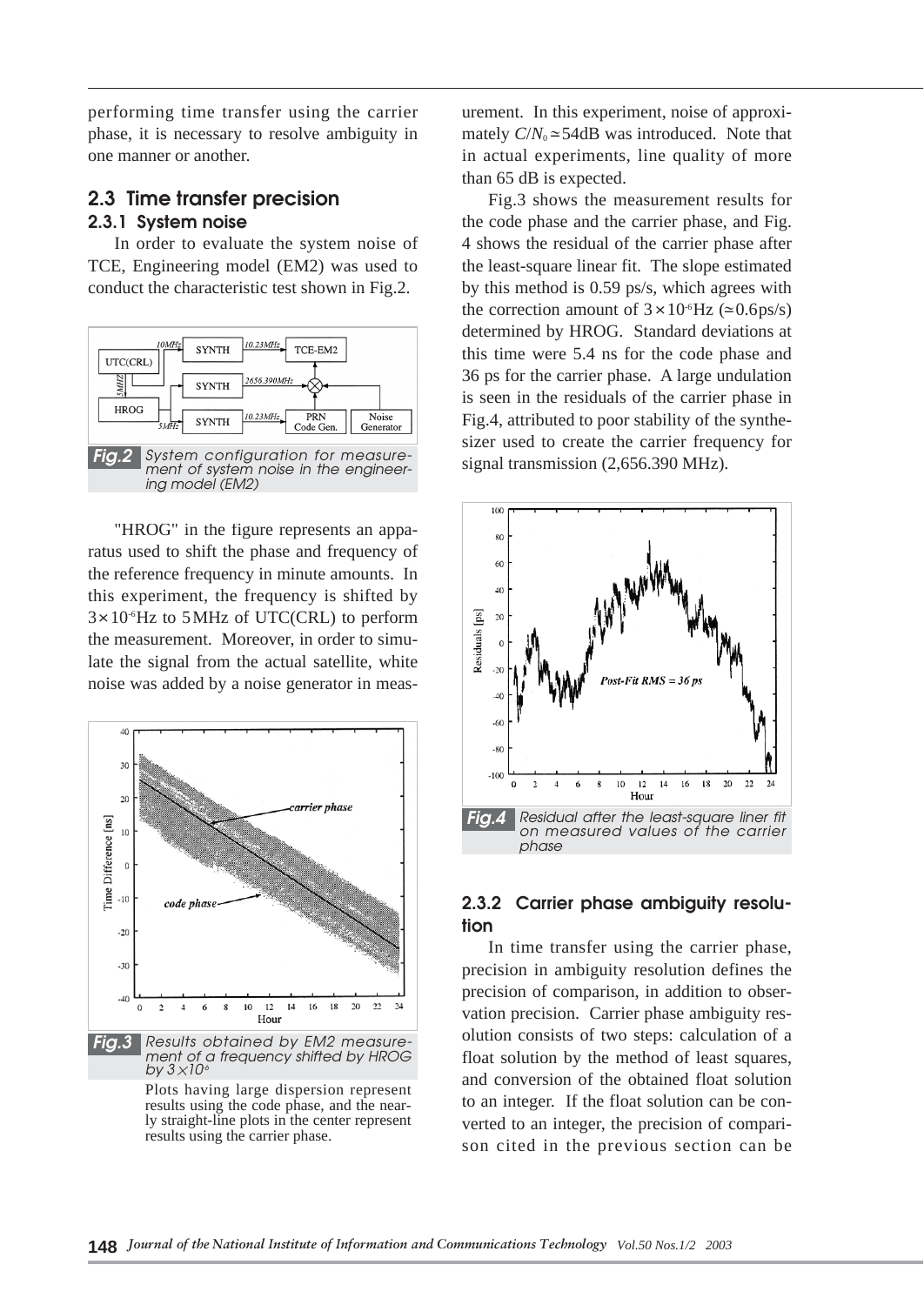performing time transfer using the carrier phase, it is necessary to resolve ambiguity in one manner or another.

## **2.3 Time transfer precision 2.3.1 System noise**

In order to evaluate the system noise of TCE, Engineering model (EM2) was used to conduct the characteristic test shown in Fig.2.



"HROG" in the figure represents an apparatus used to shift the phase and frequency of the reference frequency in minute amounts. In this experiment, the frequency is shifted by  $3 \times 10^{6}$  Hz to 5 MHz of UTC(CRL) to perform the measurement. Moreover, in order to simulate the signal from the actual satellite, white noise was added by a noise generator in meas-



urement. In this experiment, noise of approximately  $C/N_0 \approx 54$ dB was introduced. Note that in actual experiments, line quality of more than 65 dB is expected.

Fig.3 shows the measurement results for the code phase and the carrier phase, and Fig. 4 shows the residual of the carrier phase after the least-square linear fit. The slope estimated by this method is 0.59 ps/s, which agrees with the correction amount of  $3 \times 10^{-6}$ Hz ( $\approx 0.6$ ps/s) determined by HROG. Standard deviations at this time were 5.4 ns for the code phase and 36 ps for the carrier phase. A large undulation is seen in the residuals of the carrier phase in Fig.4, attributed to poor stability of the synthesizer used to create the carrier frequency for signal transmission (2,656.390 MHz).

![](_page_3_Figure_8.jpeg)

## **2.3.2 Carrier phase ambiguity resolution**

In time transfer using the carrier phase, precision in ambiguity resolution defines the precision of comparison, in addition to observation precision. Carrier phase ambiguity resolution consists of two steps: calculation of a float solution by the method of least squares, and conversion of the obtained float solution to an integer. If the float solution can be converted to an integer, the precision of comparison cited in the previous section can be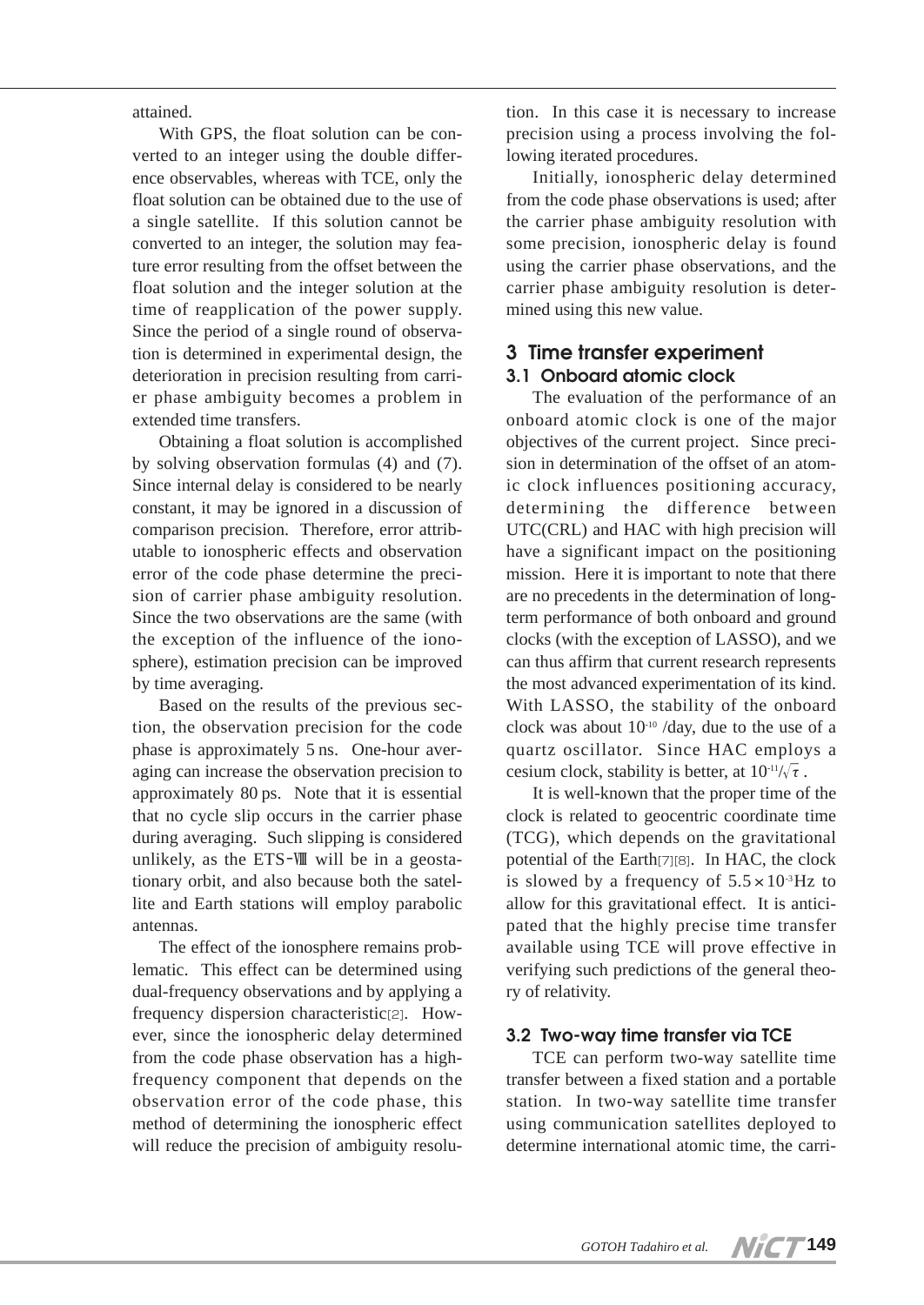attained.

With GPS, the float solution can be converted to an integer using the double difference observables, whereas with TCE, only the float solution can be obtained due to the use of a single satellite. If this solution cannot be converted to an integer, the solution may feature error resulting from the offset between the float solution and the integer solution at the time of reapplication of the power supply. Since the period of a single round of observation is determined in experimental design, the deterioration in precision resulting from carrier phase ambiguity becomes a problem in extended time transfers.

Obtaining a float solution is accomplished by solving observation formulas (4) and (7). Since internal delay is considered to be nearly constant, it may be ignored in a discussion of comparison precision. Therefore, error attributable to ionospheric effects and observation error of the code phase determine the precision of carrier phase ambiguity resolution. Since the two observations are the same (with the exception of the influence of the ionosphere), estimation precision can be improved by time averaging.

Based on the results of the previous section, the observation precision for the code phase is approximately 5 ns. One-hour averaging can increase the observation precision to approximately 80 ps. Note that it is essential that no cycle slip occurs in the carrier phase during averaging. Such slipping is considered unlikely, as the ETS-Ⅷ will be in a geostationary orbit, and also because both the satellite and Earth stations will employ parabolic antennas.

The effect of the ionosphere remains problematic. This effect can be determined using dual-frequency observations and by applying a frequency dispersion characteristic[2]. However, since the ionospheric delay determined from the code phase observation has a highfrequency component that depends on the observation error of the code phase, this method of determining the ionospheric effect will reduce the precision of ambiguity resolu-

tion. In this case it is necessary to increase precision using a process involving the following iterated procedures.

Initially, ionospheric delay determined from the code phase observations is used; after the carrier phase ambiguity resolution with some precision, ionospheric delay is found using the carrier phase observations, and the carrier phase ambiguity resolution is determined using this new value.

#### **3 Time transfer experiment 3.1 Onboard atomic clock**

The evaluation of the performance of an onboard atomic clock is one of the major objectives of the current project. Since precision in determination of the offset of an atomic clock influences positioning accuracy, determining the difference between UTC(CRL) and HAC with high precision will have a significant impact on the positioning mission. Here it is important to note that there are no precedents in the determination of longterm performance of both onboard and ground clocks (with the exception of LASSO), and we can thus affirm that current research represents the most advanced experimentation of its kind. With LASSO, the stability of the onboard clock was about  $10^{-10}$  /day, due to the use of a quartz oscillator. Since HAC employs a cesium clock, stability is better, at  $10^{-11}/\sqrt{\tau}$ .

It is well-known that the proper time of the clock is related to geocentric coordinate time (TCG), which depends on the gravitational potential of the Earth[7][8]. In HAC, the clock is slowed by a frequency of  $5.5 \times 10^{-3}$  Hz to allow for this gravitational effect. It is anticipated that the highly precise time transfer available using TCE will prove effective in verifying such predictions of the general theory of relativity.

#### **3.2 Two-way time transfer via TCE**

TCE can perform two-way satellite time transfer between a fixed station and a portable station. In two-way satellite time transfer using communication satellites deployed to determine international atomic time, the carri-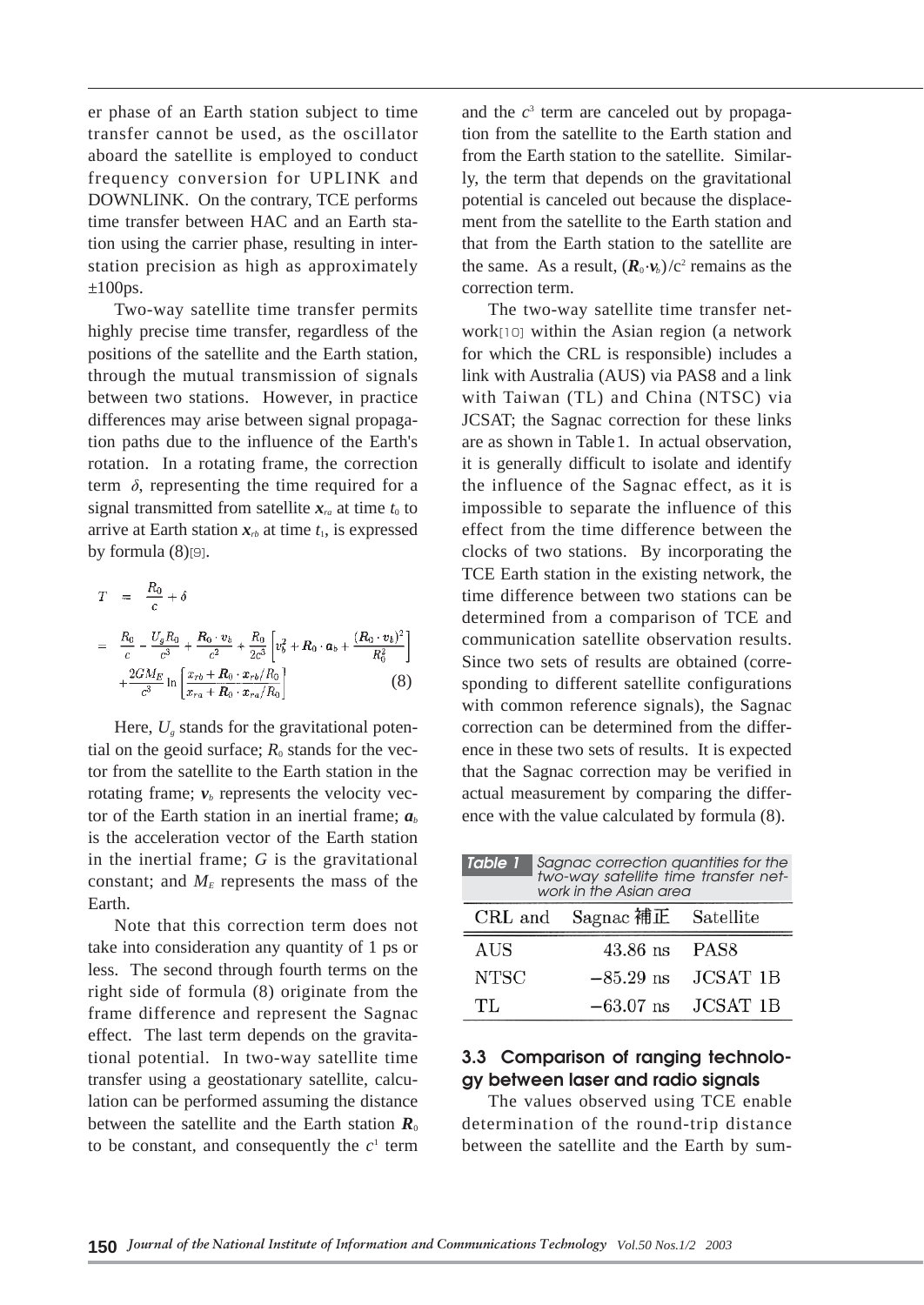er phase of an Earth station subject to time transfer cannot be used, as the oscillator aboard the satellite is employed to conduct frequency conversion for UPLINK and DOWNLINK. On the contrary, TCE performs time transfer between HAC and an Earth station using the carrier phase, resulting in interstation precision as high as approximately  $\pm 100$ ps.

Two-way satellite time transfer permits highly precise time transfer, regardless of the positions of the satellite and the Earth station, through the mutual transmission of signals between two stations. However, in practice differences may arise between signal propagation paths due to the influence of the Earth's rotation. In a rotating frame, the correction term  $\delta$ , representing the time required for a signal transmitted from satellite  $x<sub>n</sub>$  at time  $t<sub>0</sub>$  to arrive at Earth station  $x<sub>rb</sub>$  at time  $t<sub>1</sub>$ , is expressed by formula  $(8)$ [9].

$$
T = \frac{R_0}{c} + \delta
$$
  
=  $\frac{R_0}{c} - \frac{U_g R_0}{c^3} + \frac{R_0 \cdot v_b}{c^2} + \frac{R_0}{2c^3} \left[ v_b^2 + R_0 \cdot a_b + \frac{(R_0 \cdot v_b)^2}{R_0^2} \right]$   
+  $\frac{2GM_E}{c^3} \ln \left[ \frac{x_{rb} + R_0 \cdot x_{rb}/R_0}{x_{ra} + R_0 \cdot x_{ra}/R_0} \right]$  (8)

Here,  $U_{\nu}$  stands for the gravitational potential on the geoid surface;  $R_0$  stands for the vector from the satellite to the Earth station in the rotating frame;  $v_b$  represents the velocity vector of the Earth station in an inertial frame;  $a<sub>b</sub>$ is the acceleration vector of the Earth station in the inertial frame; *G* is the gravitational constant; and  $M<sub>E</sub>$  represents the mass of the Earth.

Note that this correction term does not take into consideration any quantity of 1 ps or less. The second through fourth terms on the right side of formula (8) originate from the frame difference and represent the Sagnac effect. The last term depends on the gravitational potential. In two-way satellite time transfer using a geostationary satellite, calculation can be performed assuming the distance between the satellite and the Earth station  $R_0$ to be constant, and consequently the  $c<sup>1</sup>$  term

and the  $c<sup>3</sup>$  term are canceled out by propagation from the satellite to the Earth station and from the Earth station to the satellite. Similarly, the term that depends on the gravitational potential is canceled out because the displacement from the satellite to the Earth station and that from the Earth station to the satellite are the same. As a result,  $(R_0 \cdot v_b)/c^2$  remains as the correction term.

The two-way satellite time transfer network[10] within the Asian region (a network for which the CRL is responsible) includes a link with Australia (AUS) via PAS8 and a link with Taiwan (TL) and China (NTSC) via JCSAT; the Sagnac correction for these links are as shown in Table1. In actual observation, it is generally difficult to isolate and identify the influence of the Sagnac effect, as it is impossible to separate the influence of this effect from the time difference between the clocks of two stations. By incorporating the TCE Earth station in the existing network, the time difference between two stations can be determined from a comparison of TCE and communication satellite observation results. Since two sets of results are obtained (corresponding to different satellite configurations with common reference signals), the Sagnac correction can be determined from the difference in these two sets of results. It is expected that the Sagnac correction may be verified in actual measurement by comparing the difference with the value calculated by formula (8).

| Sagnac correction quantities for the<br>Table 1<br>two-way satellite time transfer net-<br>work in the Asian area |                             |                        |
|-------------------------------------------------------------------------------------------------------------------|-----------------------------|------------------------|
|                                                                                                                   | CRL and Sagnac 補正 Satellite |                        |
| AUS                                                                                                               | 43.86 ns PAS8               |                        |
| <b>NTSC</b>                                                                                                       | $-85.29$ ns                 | <b>JCSAT 1B</b>        |
| TL.                                                                                                               |                             | $-63.07$ ns $JCSAT$ 1B |

## **3.3 Comparison of ranging technology between laser and radio signals**

The values observed using TCE enable determination of the round-trip distance between the satellite and the Earth by sum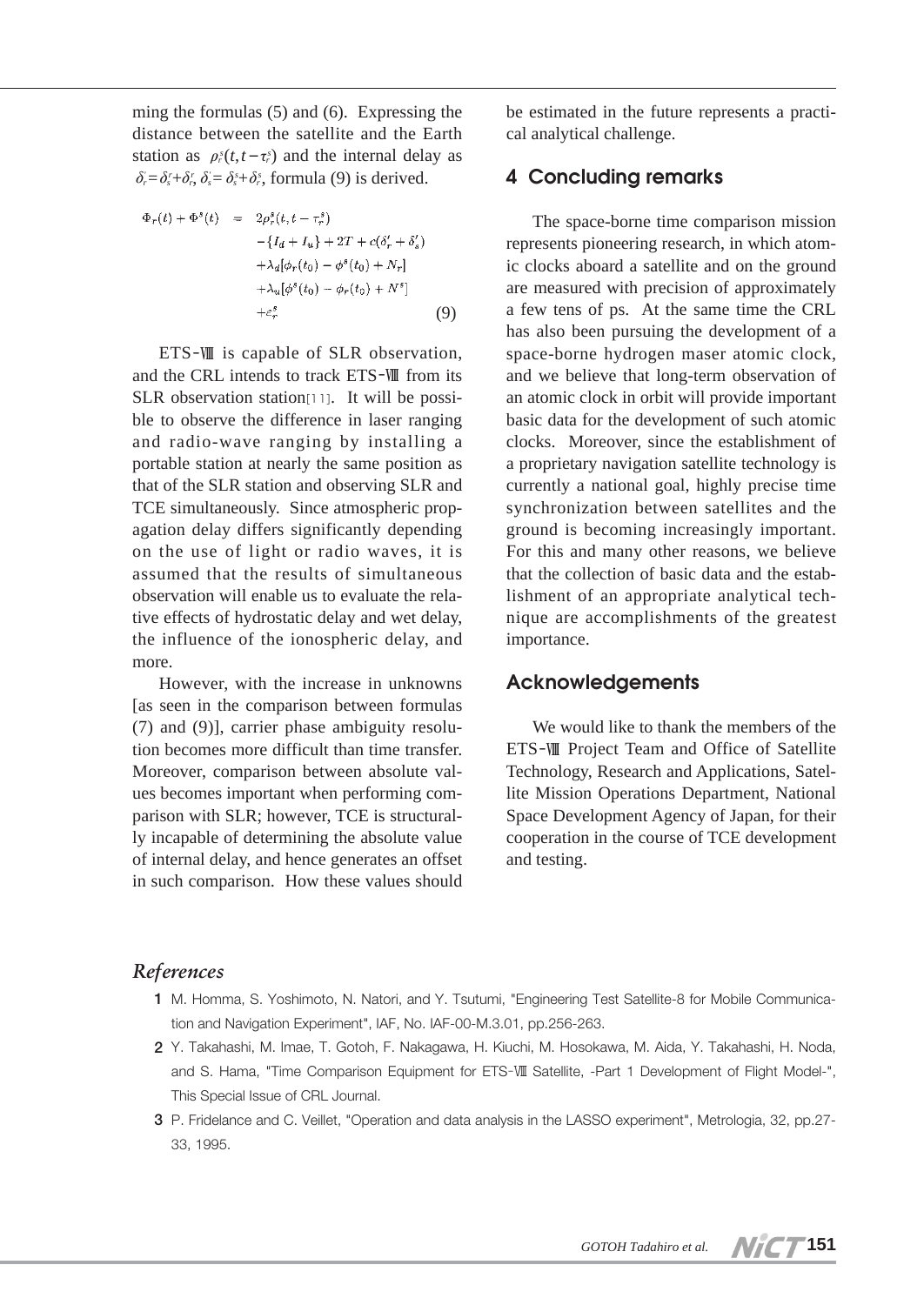ming the formulas (5) and (6). Expressing the distance between the satellite and the Earth station as  $\rho_r^s(t,t-\tau_r^s)$  and the internal delay as  $\delta_i = \delta_i^r + \delta_i^r$ ,  $\delta_i = \delta_i^s + \delta_i^s$ , formula (9) is derived.

$$
\Phi_r(t) + \Phi^s(t) = 2\rho_r^s(t, t - \tau_r^s) \n- \{I_d + I_u\} + 2T + c(\delta'_r + \delta'_s) \n+ \lambda_d[\phi_r(t_0) - \phi^s(t_0) + N_r] \n+ \lambda_u[\phi^s(t_0) - \phi_r(t_0) + N^s] \n+ \varepsilon_r^s
$$
\n(9)

ETS-Ⅷ is capable of SLR observation, and the CRL intends to track ETS-Ⅷ from its SLR observation station[11]. It will be possible to observe the difference in laser ranging and radio-wave ranging by installing a portable station at nearly the same position as that of the SLR station and observing SLR and TCE simultaneously. Since atmospheric propagation delay differs significantly depending on the use of light or radio waves, it is assumed that the results of simultaneous observation will enable us to evaluate the relative effects of hydrostatic delay and wet delay, the influence of the ionospheric delay, and more.

However, with the increase in unknowns [as seen in the comparison between formulas (7) and (9)], carrier phase ambiguity resolution becomes more difficult than time transfer. Moreover, comparison between absolute values becomes important when performing comparison with SLR; however, TCE is structurally incapable of determining the absolute value of internal delay, and hence generates an offset in such comparison. How these values should

be estimated in the future represents a practical analytical challenge.

# **4 Concluding remarks**

The space-borne time comparison mission represents pioneering research, in which atomic clocks aboard a satellite and on the ground are measured with precision of approximately a few tens of ps. At the same time the CRL has also been pursuing the development of a space-borne hydrogen maser atomic clock, and we believe that long-term observation of an atomic clock in orbit will provide important basic data for the development of such atomic clocks. Moreover, since the establishment of a proprietary navigation satellite technology is currently a national goal, highly precise time synchronization between satellites and the ground is becoming increasingly important. For this and many other reasons, we believe that the collection of basic data and the establishment of an appropriate analytical technique are accomplishments of the greatest importance.

#### **Acknowledgements**

We would like to thank the members of the ETS-Ⅷ Project Team and Office of Satellite Technology, Research and Applications, Satellite Mission Operations Department, National Space Development Agency of Japan, for their cooperation in the course of TCE development and testing.

## *References*

- **1** M. Homma, S. Yoshimoto, N. Natori, and Y. Tsutumi, "Engineering Test Satellite-8 for Mobile Communication and Navigation Experiment", IAF, No. IAF-00-M.3.01, pp.256-263.
- **2** Y. Takahashi, M. Imae, T. Gotoh, F. Nakagawa, H. Kiuchi, M. Hosokawa, M. Aida, Y. Takahashi, H. Noda, and S. Hama, "Time Comparison Equipment for ETS-VIII Satellite, -Part 1 Development of Flight Model-", This Special Issue of CRL Journal.
- **3** P. Fridelance and C. Veillet, "Operation and data analysis in the LASSO experiment", Metrologia, 32, pp.27- 33, 1995.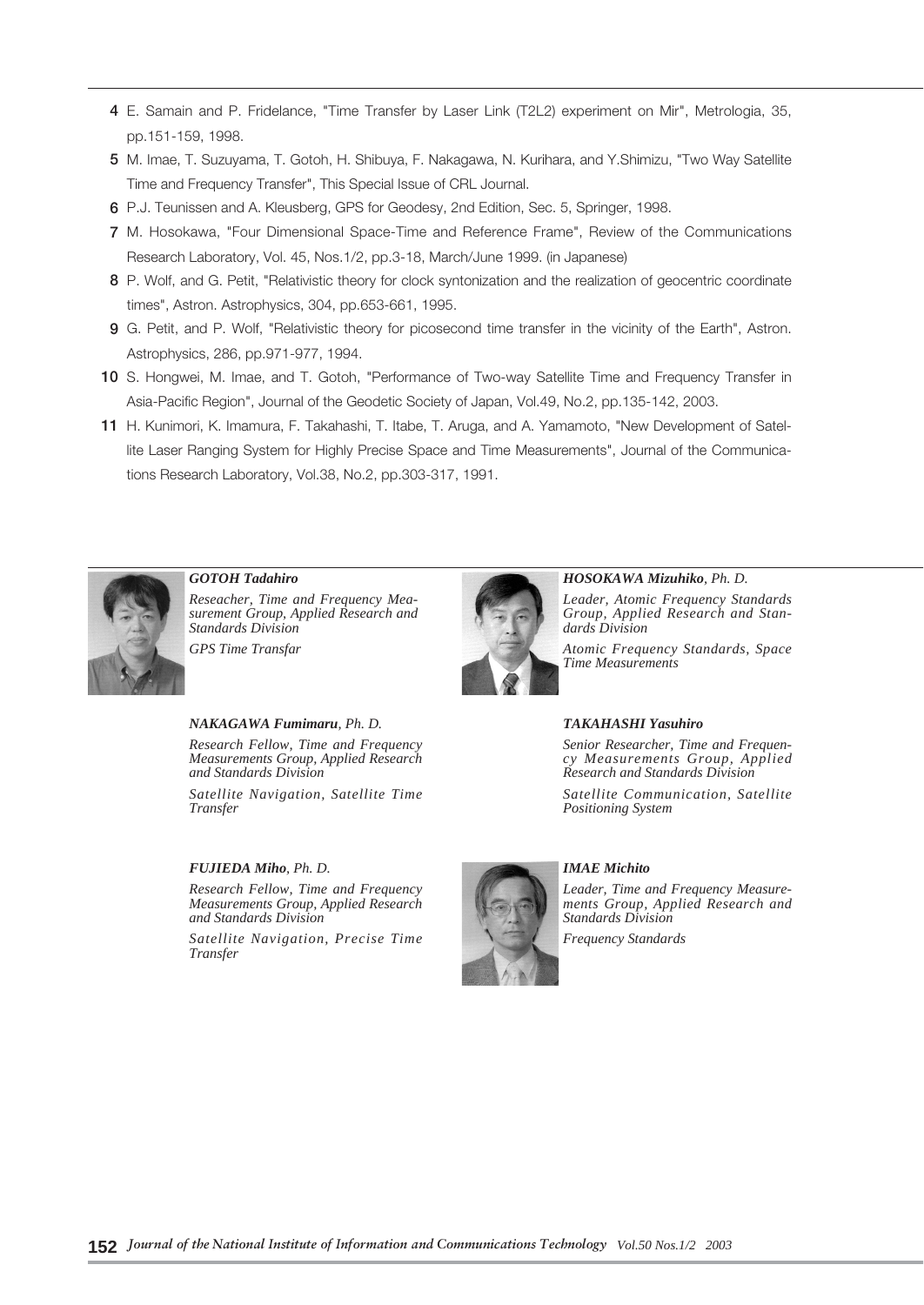- **4** E. Samain and P. Fridelance, "Time Transfer by Laser Link (T2L2) experiment on Mir", Metrologia, 35, pp.151-159, 1998.
- **5** M. Imae, T. Suzuyama, T. Gotoh, H. Shibuya, F. Nakagawa, N. Kurihara, and Y.Shimizu, "Two Way Satellite Time and Frequency Transfer", This Special Issue of CRL Journal.
- **6** P.J. Teunissen and A. Kleusberg, GPS for Geodesy, 2nd Edition, Sec. 5, Springer, 1998.
- **7** M. Hosokawa, "Four Dimensional Space-Time and Reference Frame", Review of the Communications Research Laboratory, Vol. 45, Nos.1/2, pp.3-18, March/June 1999. (in Japanese)
- **8** P. Wolf, and G. Petit, "Relativistic theory for clock syntonization and the realization of geocentric coordinate times", Astron. Astrophysics, 304, pp.653-661, 1995.
- **9** G. Petit, and P. Wolf, "Relativistic theory for picosecond time transfer in the vicinity of the Earth", Astron. Astrophysics, 286, pp.971-977, 1994.
- **10** S. Hongwei, M. Imae, and T. Gotoh, "Performance of Two-way Satellite Time and Frequency Transfer in Asia-Pacific Region", Journal of the Geodetic Society of Japan, Vol.49, No.2, pp.135-142, 2003.
- **11** H. Kunimori, K. Imamura, F. Takahashi, T. Itabe, T. Aruga, and A. Yamamoto, "New Development of Satellite Laser Ranging System for Highly Precise Space and Time Measurements", Journal of the Communications Research Laboratory, Vol.38, No.2, pp.303-317, 1991.

![](_page_7_Picture_8.jpeg)

*GOTOH Tadahiro Reseacher, Time and Frequency Measurement Group, Applied Research and Standards Division GPS Time Transfar*

#### *NAKAGAWA Fumimaru, Ph. D.*

*Research Fellow, Time and Frequency Measurements Group, Applied Research and Standards Division*

*Satellite Navigation, Satellite Time Transfer*

#### *FUJIEDA Miho, Ph. D.*

*Research Fellow, Time and Frequency Measurements Group, Applied Research and Standards Division*

*Satellite Navigation, Precise Time Transfer*

![](_page_7_Picture_16.jpeg)

*HOSOKAWA Mizuhiko, Ph. D.*

*Leader, Atomic Frequency Standards Group, Applied Research and Standards Division*

*Atomic Frequency Standards, Space Time Measurements*

#### *TAKAHASHI Yasuhiro*

*Senior Researcher, Time and Frequency Measurements Group, Applied Research and Standards Division*

*Satellite Communication, Satellite Positioning System*

![](_page_7_Picture_23.jpeg)

#### *IMAE Michito*

*Leader, Time and Frequency Measurements Group, Applied Research and Standards Division*

*Frequency Standards*